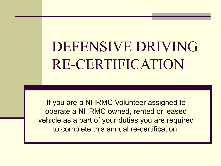DEFENSIVE DRIVING RE-CERTIFICATION

If you are a NHRMC Volunteer assigned to operate a NHRMC owned, rented or leased vehicle as a part of your duties you are required to complete this annual re-certification.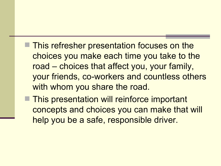- **This refresher presentation focuses on the** choices you make each time you take to the road – choices that affect you, your family, your friends, co-workers and countless others with whom you share the road.
- This presentation will reinforce important concepts and choices you can make that will help you be a safe, responsible driver.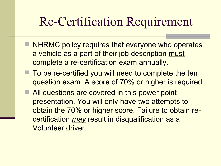## Re-Certification Requirement

- **NHRMC policy requires that everyone who operates** a vehicle as a part of their job description must complete a re-certification exam annually.
- To be re-certified you will need to complete the ten question exam. A score of 70% or higher is required.
- **All questions are covered in this power point** presentation. You will only have two attempts to obtain the 70% or higher score. Failure to obtain recertification *may* result in disqualification as a Volunteer driver.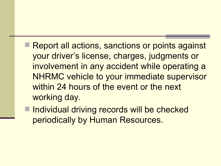- Report all actions, sanctions or points against your driver's license, charges, judgments or involvement in any accident while operating a NHRMC vehicle to your immediate supervisor within 24 hours of the event or the next working day.
- Individual driving records will be checked periodically by Human Resources.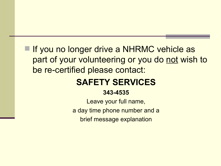**If you no longer drive a NHRMC vehicle as** part of your volunteering or you do not wish to be re-certified please contact:

#### **SAFETY SERVICES**

#### **343-4535**

Leave your full name, a day time phone number and a brief message explanation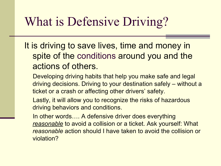# What is Defensive Driving?

- It is driving to save lives, time and money in spite of the conditions around you and the actions of others.
	- Developing driving habits that help you make safe and legal driving decisions. Driving to your destination safely – without a ticket or a crash or affecting other drivers' safety.
	- Lastly, it will allow you to recognize the risks of hazardous driving behaviors and conditions.
	- In other words…. A defensive driver does everything *reasonable* to avoid a collision or a ticket. Ask yourself: What *reasonable* action should I have taken to avoid the collision or violation?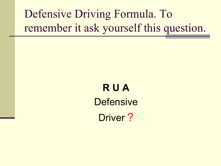Defensive Driving Formula. To remember it ask yourself this question.

# **R U A Defensive** Driver?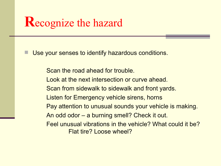#### **R**ecognize the hazard

Use your senses to identify hazardous conditions.

Scan the road ahead for trouble. Look at the next intersection or curve ahead. Scan from sidewalk to sidewalk and front yards. Listen for Emergency vehicle sirens, horns Pay attention to unusual sounds your vehicle is making. An odd odor – a burning smell? Check it out. Feel unusual vibrations in the vehicle? What could it be? Flat tire? Loose wheel?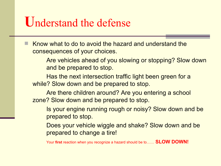#### **U**nderstand the defense

 Know what to do to avoid the hazard and understand the consequences of your choices.

> Are vehicles ahead of you slowing or stopping? Slow down and be prepared to stop.

Has the next intersection traffic light been green for a while? Slow down and be prepared to stop.

Are there children around? Are you entering a school zone? Slow down and be prepared to stop.

Is your engine running rough or noisy? Slow down and be prepared to stop.

Does your vehicle wiggle and shake? Slow down and be prepared to change a tire!

Your **first** reaction when you recognize a hazard should be to…… **SLOW DOWN!**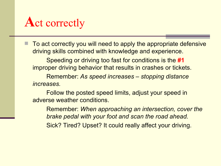# **A**ct correctly

 To act correctly you will need to apply the appropriate defensive driving skills combined with knowledge and experience.

Speeding or driving too fast for conditions is the **#1**  improper driving behavior that results in crashes or tickets.

Remember: *As speed increases – stopping distance increases.*

Follow the posted speed limits, adjust your speed in adverse weather conditions.

Remember: *When approaching an intersection, cover the brake pedal with your foot and scan the road ahead.* Sick? Tired? Upset? It could really affect your driving.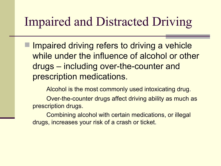### Impaired and Distracted Driving

 Impaired driving refers to driving a vehicle while under the influence of alcohol or other drugs – including over-the-counter and prescription medications.

Alcohol is the most commonly used intoxicating drug.

Over-the-counter drugs affect driving ability as much as prescription drugs.

Combining alcohol with certain medications, or illegal drugs, increases your risk of a crash or ticket.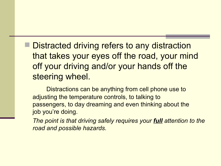**Distracted driving refers to any distraction** that takes your eyes off the road, your mind off your driving and/or your hands off the steering wheel.

Distractions can be anything from cell phone use to adjusting the temperature controls, to talking to passengers, to day dreaming and even thinking about the job you're doing.

*The point is that driving safely requires your full attention to the road and possible hazards.*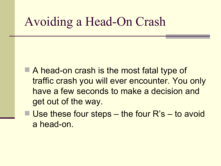## Avoiding a Head-On Crash

- A head-on crash is the most fatal type of traffic crash you will ever encounter. You only have a few seconds to make a decision and get out of the way.
- $\blacksquare$  Use these four steps the four R's to avoid a head-on.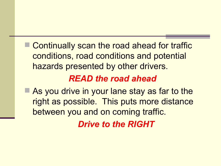Continually scan the road ahead for traffic conditions, road conditions and potential hazards presented by other drivers.

#### *READ the road ahead*

■ As you drive in your lane stay as far to the right as possible. This puts more distance between you and on coming traffic.

*Drive to the RIGHT*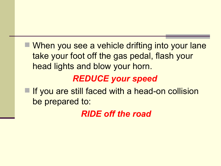When you see a vehicle drifting into your lane take your foot off the gas pedal, flash your head lights and blow your horn.

#### *REDUCE your speed*

■ If you are still faced with a head-on collision be prepared to:

*RIDE off the road*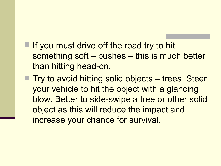- $\blacksquare$  If you must drive off the road try to hit something soft – bushes – this is much better than hitting head-on.
- Try to avoid hitting solid objects trees. Steer your vehicle to hit the object with a glancing blow. Better to side-swipe a tree or other solid object as this will reduce the impact and increase your chance for survival.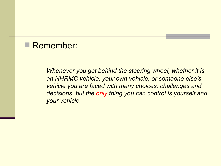#### Remember:

*Whenever you get behind the steering wheel, whether it is an NHRMC vehicle, your own vehicle, or someone else's vehicle you are faced with many choices, challenges and decisions, but the only thing you can control is yourself and your vehicle.*